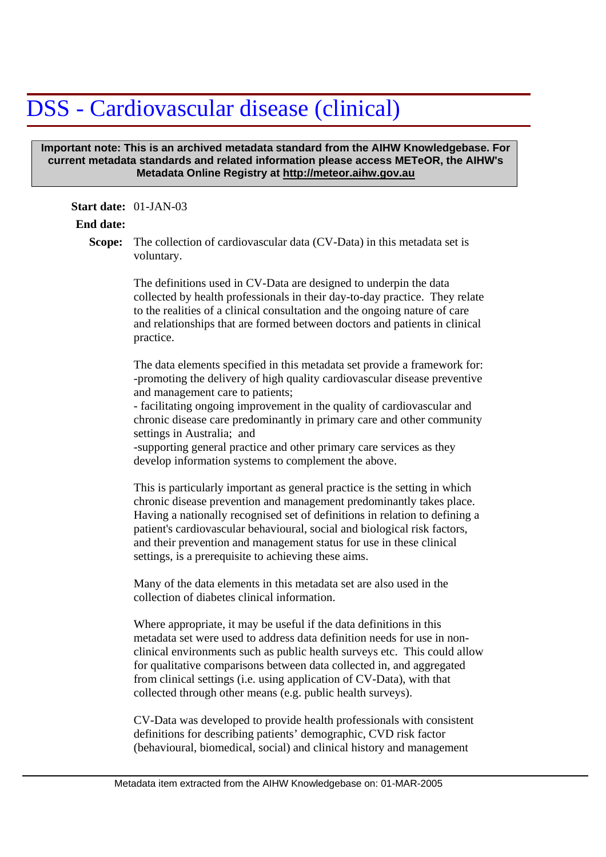## DSS - Cardiovascular disease (clinical)

## **Important note: This is an archived metadata standard from the AIHW Knowledgebase. For current metadata standards and related information please access METeOR, the AIHW's Metadata Online Registry at http://meteor.aihw.gov.au**

## **Start date:** 01-JAN-03

## **End date:**

Scope: The collection of cardiovascular data (CV-Data) in this metadata set is voluntary.

> The definitions used in CV-Data are designed to underpin the data collected by health professionals in their day-to-day practice. They relate to the realities of a clinical consultation and the ongoing nature of care and relationships that are formed between doctors and patients in clinical practice.

> The data elements specified in this metadata set provide a framework for: -promoting the delivery of high quality cardiovascular disease preventive and management care to patients;

> - facilitating ongoing improvement in the quality of cardiovascular and chronic disease care predominantly in primary care and other community settings in Australia; and

-supporting general practice and other primary care services as they develop information systems to complement the above.

This is particularly important as general practice is the setting in which chronic disease prevention and management predominantly takes place. Having a nationally recognised set of definitions in relation to defining a patient's cardiovascular behavioural, social and biological risk factors, and their prevention and management status for use in these clinical settings, is a prerequisite to achieving these aims.

Many of the data elements in this metadata set are also used in the collection of diabetes clinical information.

Where appropriate, it may be useful if the data definitions in this metadata set were used to address data definition needs for use in nonclinical environments such as public health surveys etc. This could allow for qualitative comparisons between data collected in, and aggregated from clinical settings (i.e. using application of CV-Data), with that collected through other means (e.g. public health surveys).

CV-Data was developed to provide health professionals with consistent definitions for describing patients' demographic, CVD risk factor (behavioural, biomedical, social) and clinical history and management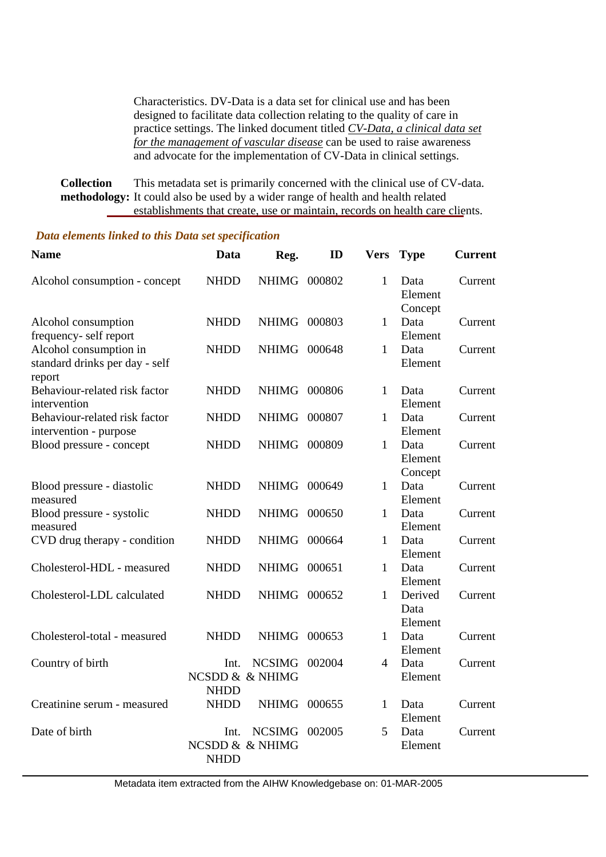Characteristics. DV-Data is a data set for clinical use and has been designed to facilitate data collection relating to the quality of care in practice settings. The linked document titled *CV-Data, a clinical data set for the management of vascular disease* can be used to raise awareness and advocate for the implementation of CV-Data in clinical settings.

This metadata set is primarily concerned with the clinical use of CV-data. methodology: It could also be used by a wider range of health and health related establishments that create, use or maintain, records on health care clients. **Collection** 

Alcohol consumption - concept Alcohol consumption frequency- self report Alcohol consumption in standard drinks per day - self report Behaviour-related risk factor intervention Behaviour-related risk factor intervention - purpose Blood pressure - concept Blood pressure - diastolic measured Blood pressure - systolic measured CVD drug therapy - condition Cholesterol-HDL - measured Cholesterol-LDL calculated Cholesterol-total - measured Country of birth Creatinine serum - measured Date of birth **Name**  NHDD NHDD NHDD NHDD NHDD NHDD NHDD NHDD NHDD NHDD NHDD NHDD Int. NCSIMG 002004 NCSDD & & NHIMG NHDD NHDD Int. NCSIMG 002005 NCSDD & & NHIMG NHDD **Data**  NHIMG 000802 NHIMG 000803 NHIMG 000648 NHIMG 000806 NHIMG 000807 NHIMG 000809 NHIMG 000649 NHIMG 000650 NHIMG 000664 NHIMG 000651 NHIMG 000652 NHIMG 000653 NHIMG 000655 **Reg. ID** 1 1 1 1 Data 1 Data 1 1 1 1 1 1 1 Data 4 1 5 **Vers Type** Data Element **Concept** Data Element Data Element Element Element Data Element Concept Data Element Data Element Data Element Data Element Derived Data Element Element Data Element Data Element Data Element Current Current Current Current Current Current Current Current Current Current Current Current **Current Current** Current **Current** 

*Data elements linked to this Data set specification* 

Metadata item extracted from the AIHW Knowledgebase on: 01-MAR-2005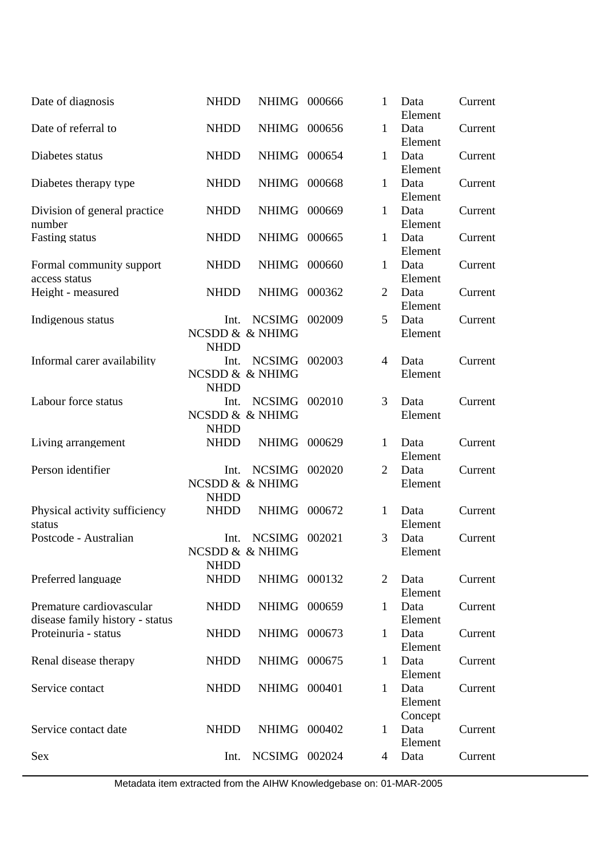| Date of diagnosis                                           | <b>NHDD</b>                            | NHIMG 000666                     |        | 1              | Data<br>Element            | Current |
|-------------------------------------------------------------|----------------------------------------|----------------------------------|--------|----------------|----------------------------|---------|
| Date of referral to                                         | <b>NHDD</b>                            | NHIMG 000656                     |        | 1              | Data<br>Element            | Current |
| Diabetes status                                             | <b>NHDD</b>                            | <b>NHIMG</b>                     | 000654 | 1              | Data<br>Element            | Current |
| Diabetes therapy type                                       | <b>NHDD</b>                            | <b>NHIMG</b>                     | 000668 | 1              | Data<br>Element            | Current |
| Division of general practice<br>number                      | <b>NHDD</b>                            | NHIMG 000669                     |        | 1              | Data<br>Element            | Current |
| <b>Fasting status</b>                                       | <b>NHDD</b>                            | NHIMG 000665                     |        | $\mathbf{1}$   | Data<br>Element            | Current |
| Formal community support<br>access status                   | <b>NHDD</b>                            | <b>NHIMG</b>                     | 000660 | 1              | Data<br>Element            | Current |
| Height - measured                                           | <b>NHDD</b>                            | <b>NHIMG</b>                     | 000362 | $\overline{2}$ | Data<br>Element            | Current |
| Indigenous status                                           | Int.<br><b>NHDD</b>                    | <b>NCSIMG</b><br>NCSDD & & NHIMG | 002009 | 5              | Data<br>Element            | Current |
| Informal carer availability                                 | Int.<br><b>NHDD</b>                    | <b>NCSIMG</b><br>NCSDD & & NHIMG | 002003 | $\overline{4}$ | Data<br>Element            | Current |
| Labour force status                                         | Int.<br><b>NHDD</b>                    | <b>NCSIMG</b><br>NCSDD & & NHIMG | 002010 | 3              | Data<br>Element            | Current |
| Living arrangement                                          | <b>NHDD</b>                            | <b>NHIMG</b>                     | 000629 | 1              | Data<br>Element            | Current |
| Person identifier                                           | Int.<br>NCSDD & & NHIMG<br><b>NHDD</b> | <b>NCSIMG</b>                    | 002020 | $\overline{2}$ | Data<br>Element            | Current |
| Physical activity sufficiency<br>status                     | <b>NHDD</b>                            | NHIMG 000672                     |        | $\mathbf{1}$   | Data<br>Element            | Current |
| Postcode - Australian                                       | Int.<br><b>NHDD</b>                    | NCSIMG 002021<br>NCSDD & & NHIMG |        | 3              | Data<br>Element            | Current |
| Preferred language                                          | <b>NHDD</b>                            | NHIMG 000132                     |        | 2              | Data<br>Element            | Current |
| Premature cardiovascular<br>disease family history - status | <b>NHDD</b>                            | NHIMG 000659                     |        | 1              | Data<br>Element            | Current |
| Proteinuria - status                                        | <b>NHDD</b>                            | NHIMG 000673                     |        | $\mathbf{1}$   | Data<br>Element            | Current |
| Renal disease therapy                                       | <b>NHDD</b>                            | NHIMG 000675                     |        | $\mathbf{1}$   | Data<br>Element            | Current |
| Service contact                                             | <b>NHDD</b>                            | NHIMG 000401                     |        | $\mathbf{1}$   | Data<br>Element<br>Concept | Current |
| Service contact date                                        | <b>NHDD</b>                            | NHIMG 000402                     |        | 1              | Data<br>Element            | Current |
| <b>Sex</b>                                                  | Int.                                   | NCSIMG 002024                    |        | 4              | Data                       | Current |

Metadata item extracted from the AIHW Knowledgebase on: 01-MAR-2005